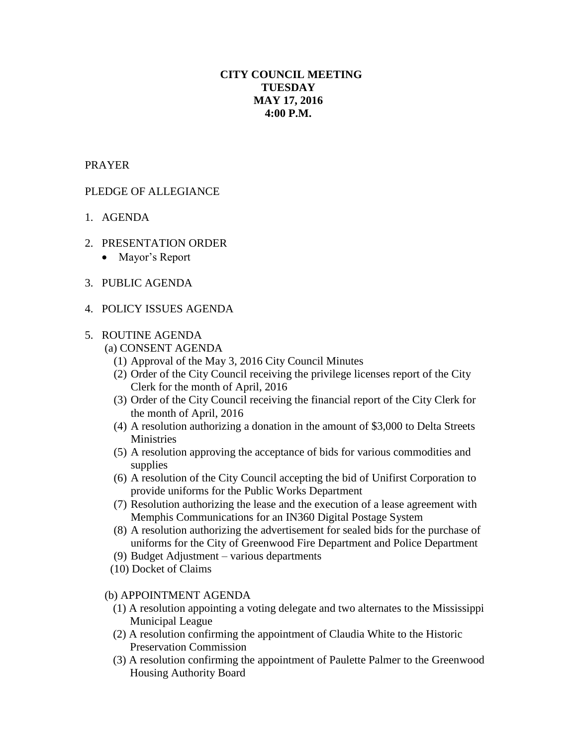# **CITY COUNCIL MEETING TUESDAY MAY 17, 2016 4:00 P.M.**

## PRAYER

# PLEDGE OF ALLEGIANCE

- 1. AGENDA
- 2. PRESENTATION ORDER
	- Mayor's Report
- 3. PUBLIC AGENDA
- 4. POLICY ISSUES AGENDA

### 5. ROUTINE AGENDA

- (a) CONSENT AGENDA
	- (1) Approval of the May 3, 2016 City Council Minutes
	- (2) Order of the City Council receiving the privilege licenses report of the City Clerk for the month of April, 2016
	- (3) Order of the City Council receiving the financial report of the City Clerk for the month of April, 2016
	- (4) A resolution authorizing a donation in the amount of \$3,000 to Delta Streets **Ministries**
	- (5) A resolution approving the acceptance of bids for various commodities and supplies
	- (6) A resolution of the City Council accepting the bid of Unifirst Corporation to provide uniforms for the Public Works Department
	- (7) Resolution authorizing the lease and the execution of a lease agreement with Memphis Communications for an IN360 Digital Postage System
	- (8) A resolution authorizing the advertisement for sealed bids for the purchase of uniforms for the City of Greenwood Fire Department and Police Department
	- (9) Budget Adjustment various departments
- (10) Docket of Claims

### (b) APPOINTMENT AGENDA

- (1) A resolution appointing a voting delegate and two alternates to the Mississippi Municipal League
- (2) A resolution confirming the appointment of Claudia White to the Historic Preservation Commission
- (3) A resolution confirming the appointment of Paulette Palmer to the Greenwood Housing Authority Board